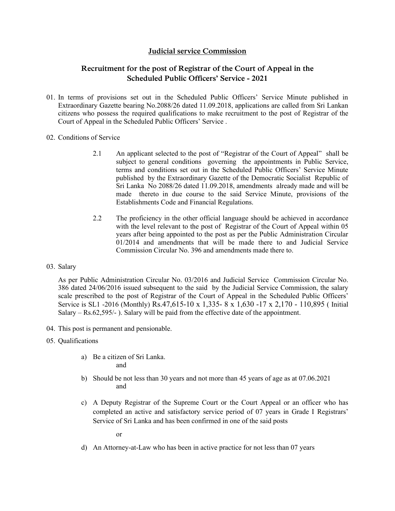### **Judicial service Commission**

## **Recruitment for the post of Registrar of the Court of Appeal in the Scheduled Public Officers' Service - 2021**

- 01. In terms of provisions set out in the Scheduled Public Officers' Service Minute published in Extraordinary Gazette bearing No.2088/26 dated 11.09.2018, applications are called from Sri Lankan citizens who possess the required qualifications to make recruitment to the post of Registrar of the Court of Appeal in the Scheduled Public Officers' Service .
- 02. Conditions of Service
	- 2.1 An applicant selected to the post of "Registrar of the Court of Appeal" shall be subject to general conditions governing the appointments in Public Service, terms and conditions set out in the Scheduled Public Officers' Service Minute published by the Extraordinary Gazette of the Democratic Socialist Republic of Sri Lanka No 2088/26 dated 11.09.2018, amendments already made and will be made thereto in due course to the said Service Minute, provisions of the Establishments Code and Financial Regulations.
	- 2.2 The proficiency in the other official language should be achieved in accordance with the level relevant to the post of Registrar of the Court of Appeal within 05 years after being appointed to the post as per the Public Administration Circular 01/2014 and amendments that will be made there to and Judicial Service Commission Circular No. 396 and amendments made there to.
- 03. Salary

As per Public Administration Circular No. 03/2016 and Judicial Service Commission Circular No. 386 dated 24/06/2016 issued subsequent to the said by the Judicial Service Commission, the salary scale prescribed to the post of Registrar of the Court of Appeal in the Scheduled Public Officers' Service is SL1 -2016 (Monthly) Rs.47,615-10 x 1,335- 8 x 1,630 -17 x 2,170 - 110,895 ( Initial Salary –  $Rs.62,595/$ -). Salary will be paid from the effective date of the appointment.

- 04. This post is permanent and pensionable.
- 05. Qualifications
	- a) Be a citizen of Sri Lanka. and
	- b) Should be not less than 30 years and not more than 45 years of age as at 07.06.2021 and
	- c) A Deputy Registrar of the Supreme Court or the Court Appeal or an officer who has completed an active and satisfactory service period of 07 years in Grade I Registrars' Service of Sri Lanka and has been confirmed in one of the said posts

or

d) An Attorney-at-Law who has been in active practice for not less than 07 years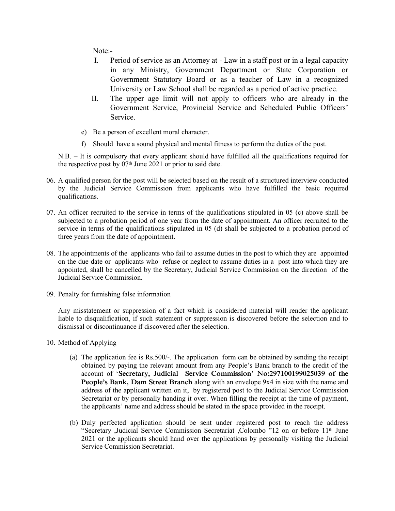Note:-

- I. Period of service as an Attorney at Law in a staff post or in a legal capacity in any Ministry, Government Department or State Corporation or Government Statutory Board or as a teacher of Law in a recognized University or Law School shall be regarded as a period of active practice.
- II. The upper age limit will not apply to officers who are already in the Government Service, Provincial Service and Scheduled Public Officers' Service.
- e) Be a person of excellent moral character.
- f) Should have a sound physical and mental fitness to perform the duties of the post.

N.B. – It is compulsory that every applicant should have fulfilled all the qualifications required for the respective post by  $07<sup>th</sup>$  June 2021 or prior to said date.

- 06. A qualified person for the post will be selected based on the result of a structured interview conducted by the Judicial Service Commission from applicants who have fulfilled the basic required qualifications.
- 07. An officer recruited to the service in terms of the qualifications stipulated in 05 (c) above shall be subjected to a probation period of one year from the date of appointment. An officer recruited to the service in terms of the qualifications stipulated in 05 (d) shall be subjected to a probation period of three years from the date of appointment.
- 08. The appointments of the applicants who fail to assume duties in the post to which they are appointed on the due date or applicants who refuse or neglect to assume duties in a post into which they are appointed, shall be cancelled by the Secretary, Judicial Service Commission on the direction of the Judicial Service Commission.
- 09. Penalty for furnishing false information

Any misstatement or suppression of a fact which is considered material will render the applicant liable to disqualification, if such statement or suppression is discovered before the selection and to dismissal or discontinuance if discovered after the selection.

- 10. Method of Applying
	- (a) The application fee is Rs.500/-. The application form can be obtained by sending the receipt obtained by paying the relevant amount from any People's Bank branch to the credit of the account of '**Secretary, Judicial Service Commission**' **No:297100199025039 of the People's Bank, Dam Street Branch** along with an envelope 9x4 in size with the name and address of the applicant written on it, by registered post to the Judicial Service Commission Secretariat or by personally handing it over. When filling the receipt at the time of payment, the applicants' name and address should be stated in the space provided in the receipt.
	- (b) Duly perfected application should be sent under registered post to reach the address "Secretary ,Judicial Service Commission Secretariat ,Colombo "12 on or before 11th June 2021 or the applicants should hand over the applications by personally visiting the Judicial Service Commission Secretariat.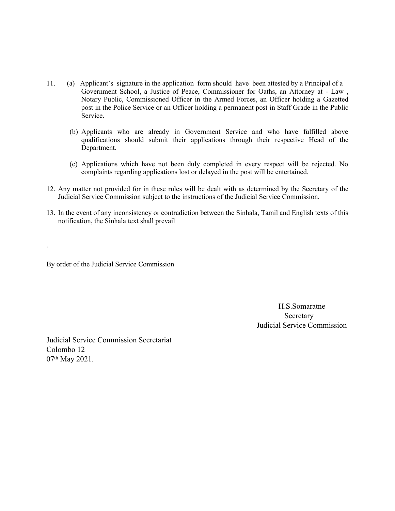- 11. (a) Applicant's signature in the application form should have been attested by a Principal of a Government School, a Justice of Peace, Commissioner for Oaths, an Attorney at - Law , Notary Public, Commissioned Officer in the Armed Forces, an Officer holding a Gazetted post in the Police Service or an Officer holding a permanent post in Staff Grade in the Public Service.
	- (b) Applicants who are already in Government Service and who have fulfilled above qualifications should submit their applications through their respective Head of the Department.
	- (c) Applications which have not been duly completed in every respect will be rejected. No complaints regarding applications lost or delayed in the post will be entertained.
- 12. Any matter not provided for in these rules will be dealt with as determined by the Secretary of the Judicial Service Commission subject to the instructions of the Judicial Service Commission.
- 13. In the event of any inconsistency or contradiction between the Sinhala, Tamil and English texts of this notification, the Sinhala text shall prevail

By order of the Judicial Service Commission

.

H.S.Somaratne Secretary Judicial Service Commission

Judicial Service Commission Secretariat Colombo 12 07th May 2021.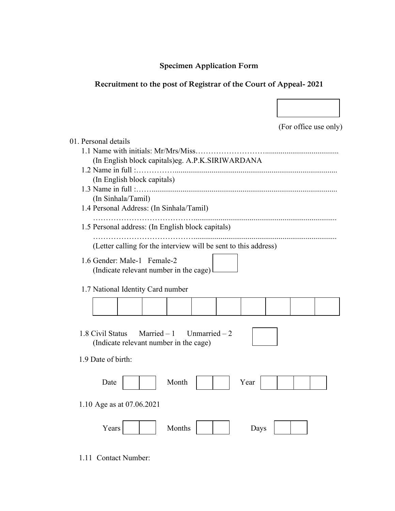# **Specimen Application Form**

# **Recruitment to the post of Registrar of the Court of Appeal- 2021**

 $\overline{\phantom{a}}$ 

|                                                                                              | (For office use only) |  |
|----------------------------------------------------------------------------------------------|-----------------------|--|
| 01. Personal details                                                                         |                       |  |
|                                                                                              |                       |  |
| (In English block capitals)eg. A.P.K.SIRIWARDANA                                             |                       |  |
| (In English block capitals)                                                                  |                       |  |
|                                                                                              |                       |  |
| (In Sinhala/Tamil)                                                                           |                       |  |
| 1.4 Personal Address: (In Sinhala/Tamil)                                                     |                       |  |
| 1.5 Personal address: (In English block capitals)                                            |                       |  |
| (Letter calling for the interview will be sent to this address)                              |                       |  |
|                                                                                              |                       |  |
| 1.6 Gender: Male-1 Female-2<br>(Indicate relevant number in the cage)                        |                       |  |
|                                                                                              |                       |  |
| 1.7 National Identity Card number                                                            |                       |  |
|                                                                                              |                       |  |
|                                                                                              |                       |  |
|                                                                                              |                       |  |
| Married $-1$<br>1.8 Civil Status<br>Unmarried $-2$<br>(Indicate relevant number in the cage) |                       |  |
|                                                                                              |                       |  |
| 1.9 Date of birth:                                                                           |                       |  |
|                                                                                              |                       |  |
| Month<br>Date<br>Year                                                                        |                       |  |
|                                                                                              |                       |  |
| 1.10 Age as at 07.06.2021                                                                    |                       |  |
|                                                                                              |                       |  |
| Months<br>Years<br>Days                                                                      |                       |  |
|                                                                                              |                       |  |

1.11 Contact Number: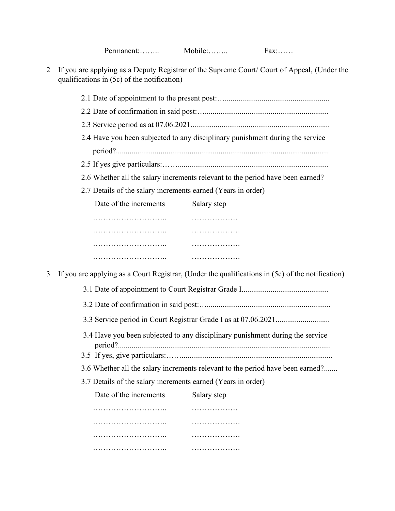| Permanent: | Mobile: | $\text{FAX}: \dots$ |
|------------|---------|---------------------|
|------------|---------|---------------------|

2 If you are applying as a Deputy Registrar of the Supreme Court/ Court of Appeal, (Under the qualifications in (5c) of the notification)

|   | 2.4 Have you been subjected to any disciplinary punishment during the service                    |  |  |  |                                                                               |  |  |  |
|---|--------------------------------------------------------------------------------------------------|--|--|--|-------------------------------------------------------------------------------|--|--|--|
|   |                                                                                                  |  |  |  |                                                                               |  |  |  |
|   | 2.6 Whether all the salary increments relevant to the period have been earned?                   |  |  |  |                                                                               |  |  |  |
|   | 2.7 Details of the salary increments earned (Years in order)                                     |  |  |  |                                                                               |  |  |  |
|   | Date of the increments<br>Salary step                                                            |  |  |  |                                                                               |  |  |  |
|   |                                                                                                  |  |  |  |                                                                               |  |  |  |
|   | .                                                                                                |  |  |  |                                                                               |  |  |  |
|   | .                                                                                                |  |  |  |                                                                               |  |  |  |
|   |                                                                                                  |  |  |  |                                                                               |  |  |  |
| 3 | If you are applying as a Court Registrar, (Under the qualifications in (5c) of the notification) |  |  |  |                                                                               |  |  |  |
|   |                                                                                                  |  |  |  |                                                                               |  |  |  |
|   |                                                                                                  |  |  |  | 3.4 Have you been subjected to any disciplinary punishment during the service |  |  |  |
|   |                                                                                                  |  |  |  |                                                                               |  |  |  |
|   | 3.7 Details of the salary increments earned (Years in order)                                     |  |  |  |                                                                               |  |  |  |
|   | Date of the increments<br>Salary step                                                            |  |  |  |                                                                               |  |  |  |
|   | .                                                                                                |  |  |  |                                                                               |  |  |  |
|   | .                                                                                                |  |  |  |                                                                               |  |  |  |
|   |                                                                                                  |  |  |  |                                                                               |  |  |  |
|   |                                                                                                  |  |  |  |                                                                               |  |  |  |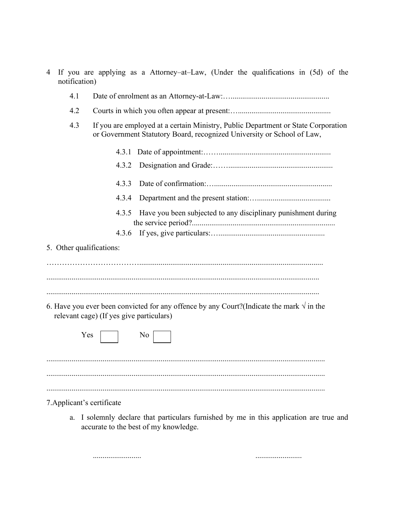| 4 | notification)                                                                                                                                                      | If you are applying as a Attorney–at–Law, (Under the qualifications in (5d) of the                                                                               |  |  |  |
|---|--------------------------------------------------------------------------------------------------------------------------------------------------------------------|------------------------------------------------------------------------------------------------------------------------------------------------------------------|--|--|--|
|   | 4.1                                                                                                                                                                |                                                                                                                                                                  |  |  |  |
|   | 4.2                                                                                                                                                                |                                                                                                                                                                  |  |  |  |
|   | 4.3<br>If you are employed at a certain Ministry, Public Department or State Corporation<br>or Government Statutory Board, recognized University or School of Law, |                                                                                                                                                                  |  |  |  |
|   |                                                                                                                                                                    | 4.3.1                                                                                                                                                            |  |  |  |
|   |                                                                                                                                                                    | 4.3.2                                                                                                                                                            |  |  |  |
|   |                                                                                                                                                                    | 4.3.3                                                                                                                                                            |  |  |  |
|   |                                                                                                                                                                    | 4.3.4                                                                                                                                                            |  |  |  |
|   |                                                                                                                                                                    | Have you been subjected to any disciplinary punishment during<br>4.3.5                                                                                           |  |  |  |
|   |                                                                                                                                                                    | 4.3.6                                                                                                                                                            |  |  |  |
|   | 5. Other qualifications:                                                                                                                                           |                                                                                                                                                                  |  |  |  |
|   | Yes                                                                                                                                                                | 6. Have you ever been convicted for any offence by any Court? (Indicate the mark $\sqrt{ }$ in the<br>relevant cage) (If yes give particulars)<br>N <sub>0</sub> |  |  |  |
|   | a.                                                                                                                                                                 | 7. Applicant's certificate<br>I solemnly declare that particulars furnished by me in this application are true and                                               |  |  |  |
|   |                                                                                                                                                                    | accurate to the best of my knowledge.                                                                                                                            |  |  |  |

......................... ........................